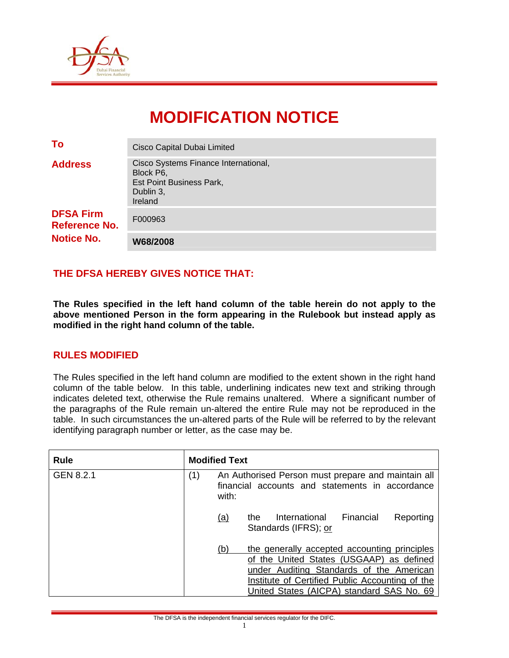

# **MODIFICATION NOTICE**

| <b>DFSA Firm</b><br><b>Reference No.</b><br><b>Notice No.</b> | F000963<br>W68/2008                                                                                          |  |  |  |
|---------------------------------------------------------------|--------------------------------------------------------------------------------------------------------------|--|--|--|
| <b>Address</b>                                                | Cisco Systems Finance International,<br>Block P6,<br><b>Est Point Business Park,</b><br>Dublin 3,<br>Ireland |  |  |  |
| To                                                            | Cisco Capital Dubai Limited                                                                                  |  |  |  |

## **THE DFSA HEREBY GIVES NOTICE THAT:**

**The Rules specified in the left hand column of the table herein do not apply to the above mentioned Person in the form appearing in the Rulebook but instead apply as modified in the right hand column of the table.** 

## **RULES MODIFIED**

The Rules specified in the left hand column are modified to the extent shown in the right hand column of the table below. In this table, underlining indicates new text and striking through indicates deleted text, otherwise the Rule remains unaltered. Where a significant number of the paragraphs of the Rule remain un-altered the entire Rule may not be reproduced in the table. In such circumstances the un-altered parts of the Rule will be referred to by the relevant identifying paragraph number or letter, as the case may be.

| <b>Rule</b> |     | <b>Modified Text</b>                                                                                           |                                                                                                                                                                                                                                      |
|-------------|-----|----------------------------------------------------------------------------------------------------------------|--------------------------------------------------------------------------------------------------------------------------------------------------------------------------------------------------------------------------------------|
| GEN 8.2.1   | (1) | An Authorised Person must prepare and maintain all<br>financial accounts and statements in accordance<br>with: |                                                                                                                                                                                                                                      |
|             |     | International<br><u>(a)</u><br>the<br>Standards (IFRS); or                                                     | Financial<br>Reporting                                                                                                                                                                                                               |
|             |     | (b)                                                                                                            | the generally accepted accounting principles<br>of the United States (USGAAP) as defined<br>under Auditing Standards of the American<br>Institute of Certified Public Accounting of the<br>United States (AICPA) standard SAS No. 69 |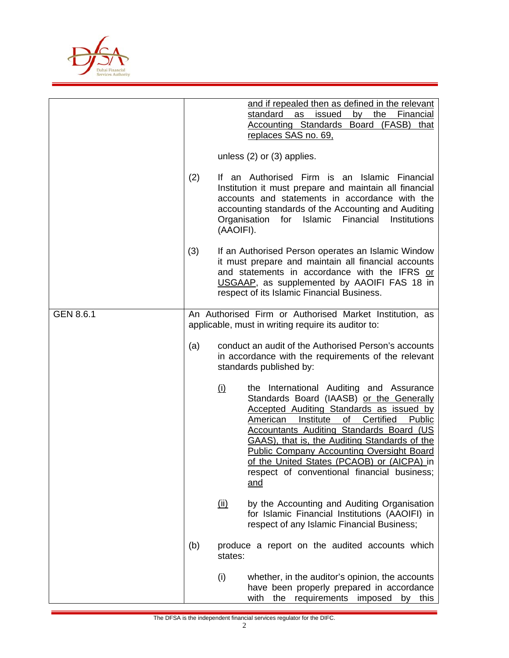

|                  |     | and if repealed then as defined in the relevant<br>standard<br>issued<br>by the<br>Financial<br>as<br><b>Accounting Standards Board (FASB)</b><br>that<br>replaces SAS no. 69,<br>unless $(2)$ or $(3)$ applies.                                                                                                                                                                                                                                                                |  |  |
|------------------|-----|---------------------------------------------------------------------------------------------------------------------------------------------------------------------------------------------------------------------------------------------------------------------------------------------------------------------------------------------------------------------------------------------------------------------------------------------------------------------------------|--|--|
|                  | (2) | If an Authorised Firm is an<br>Islamic Financial<br>Institution it must prepare and maintain all financial<br>accounts and statements in accordance with the<br>accounting standards of the Accounting and Auditing<br>Organisation<br>for Islamic Financial<br>Institutions<br>(AAOIFI).                                                                                                                                                                                       |  |  |
|                  | (3) | If an Authorised Person operates an Islamic Window<br>it must prepare and maintain all financial accounts<br>and statements in accordance with the IFRS or<br>USGAAP, as supplemented by AAOIFI FAS 18 in<br>respect of its Islamic Financial Business.                                                                                                                                                                                                                         |  |  |
| <b>GEN 8.6.1</b> |     | An Authorised Firm or Authorised Market Institution, as<br>applicable, must in writing require its auditor to:                                                                                                                                                                                                                                                                                                                                                                  |  |  |
|                  | (a) | conduct an audit of the Authorised Person's accounts<br>in accordance with the requirements of the relevant<br>standards published by:                                                                                                                                                                                                                                                                                                                                          |  |  |
|                  |     | the International Auditing and Assurance<br><u>(i)</u><br>Standards Board (IAASB) or the Generally<br><b>Accepted Auditing Standards as issued by</b><br>Certified<br>American<br>Institute<br>of<br>Public<br>Accountants Auditing Standards Board (US<br><b>GAAS)</b> , that is, the Auditing Standards of the<br><b>Public Company Accounting Oversight Board</b><br>of the United States (PCAOB) or (AICPA) in<br>respect of conventional financial business;<br><u>and</u> |  |  |
|                  |     | by the Accounting and Auditing Organisation<br><u>(ii)</u><br>for Islamic Financial Institutions (AAOIFI) in<br>respect of any Islamic Financial Business;                                                                                                                                                                                                                                                                                                                      |  |  |
|                  | (b) | produce a report on the audited accounts which<br>states:                                                                                                                                                                                                                                                                                                                                                                                                                       |  |  |
|                  |     | (i)<br>whether, in the auditor's opinion, the accounts<br>have been properly prepared in accordance<br>with<br>the<br>requirements<br>imposed<br>this<br>by                                                                                                                                                                                                                                                                                                                     |  |  |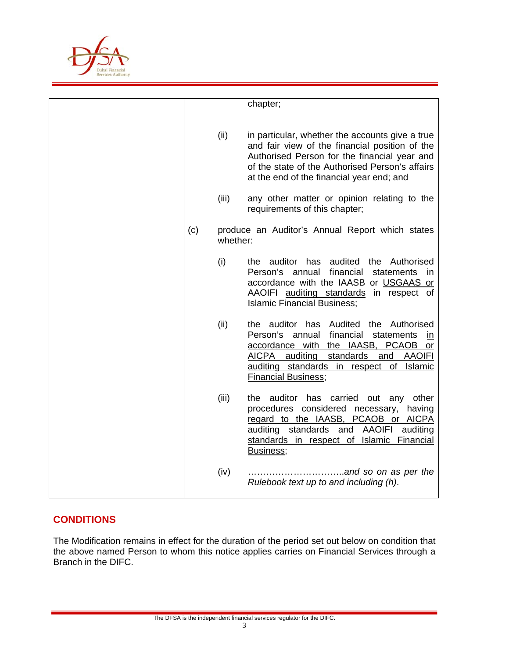

|     |          | chapter;                                                                                                                                                                                                                                                                           |
|-----|----------|------------------------------------------------------------------------------------------------------------------------------------------------------------------------------------------------------------------------------------------------------------------------------------|
|     | (ii)     | in particular, whether the accounts give a true<br>and fair view of the financial position of the<br>Authorised Person for the financial year and<br>of the state of the Authorised Person's affairs<br>at the end of the financial year end; and                                  |
|     | (iii)    | any other matter or opinion relating to the<br>requirements of this chapter;                                                                                                                                                                                                       |
| (c) | whether: | produce an Auditor's Annual Report which states                                                                                                                                                                                                                                    |
|     | (i)      | the auditor has<br>audited the Authorised<br>Person's annual<br>financial<br>statements<br>in<br>accordance with the IAASB or USGAAS or<br>AAOIFI auditing standards in respect of<br><b>Islamic Financial Business;</b>                                                           |
|     | (ii)     | the auditor has Audited the Authorised<br>Person's<br>financial<br>annual<br>statements<br>in<br>accordance with the IAASB,<br><b>PCAOB</b><br>or<br>AICPA auditing standards<br>and<br><b>AAOIFI</b><br>auditing standards in respect of<br>Islamic<br><b>Financial Business;</b> |
|     | (iii)    | the auditor has carried out any other<br>procedures considered necessary,<br>having<br>regard to the IAASB, PCAOB or AICPA<br>auditing standards and AAOIFI<br>auditing<br>standards in respect of Islamic Financial<br>Business;                                                  |
|     | (iv)     | Rulebook text up to and including (h).                                                                                                                                                                                                                                             |

# **CONDITIONS**

The Modification remains in effect for the duration of the period set out below on condition that the above named Person to whom this notice applies carries on Financial Services through a Branch in the DIFC.